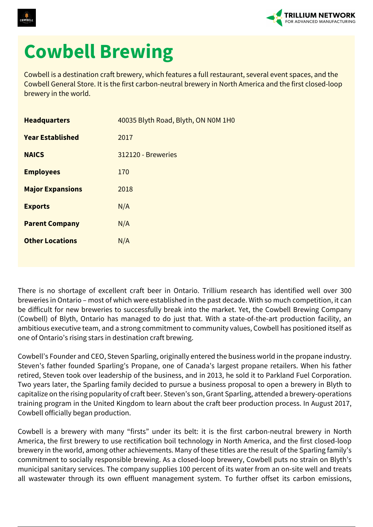

## **Cowbell Brewing**

Cowbell is a destination craft brewery, which features a full restaurant, several event spaces, and the Cowbell General Store. It is the first carbon-neutral brewery in North America and the first closed-loop brewery in the world.

| <b>Headquarters</b>     | 40035 Blyth Road, Blyth, ON N0M 1H0 |
|-------------------------|-------------------------------------|
| <b>Year Established</b> | 2017                                |
| <b>NAICS</b>            | 312120 - Breweries                  |
| <b>Employees</b>        | 170                                 |
| <b>Major Expansions</b> | 2018                                |
| <b>Exports</b>          | N/A                                 |
| <b>Parent Company</b>   | N/A                                 |
| <b>Other Locations</b>  | N/A                                 |
|                         |                                     |

There is no shortage of excellent craft beer in Ontario. Trillium research has identified well over 300 breweries in Ontario – most of which were established in the past decade. With so much competition, it can be difficult for new breweries to successfully break into the market. Yet, the Cowbell Brewing Company (Cowbell) of Blyth, Ontario has managed to do just that. With a state-of-the-art production facility, an ambitious executive team, and a strong commitment to community values, Cowbell has positioned itself as one of Ontario's rising stars in destination craft brewing.

Cowbell's Founder and CEO, Steven Sparling, originally entered the business world in the propane industry. Steven's father founded Sparling's Propane, one of Canada's largest propane retailers. When his father retired, Steven took over leadership of the business, and in 2013, he sold it to Parkland Fuel Corporation. Two years later, the Sparling family decided to pursue a business proposal to open a brewery in Blyth to capitalize on the rising popularity of craft beer. Steven's son, Grant Sparling, attended a brewery-operations training program in the United Kingdom to learn about the craft beer production process. In August 2017, Cowbell officially began production.

Cowbell is a brewery with many "firsts" under its belt: it is the first carbon-neutral brewery in North America, the first brewery to use rectification boil technology in North America, and the first closed-loop brewery in the world, among other achievements. Many of these titles are the result of the Sparling family's commitment to socially responsible brewing. As a closed-loop brewery, Cowbell puts no strain on Blyth's municipal sanitary services. The company supplies 100 percent of its water from an on-site well and treats all wastewater through its own effluent management system. To further offset its carbon emissions,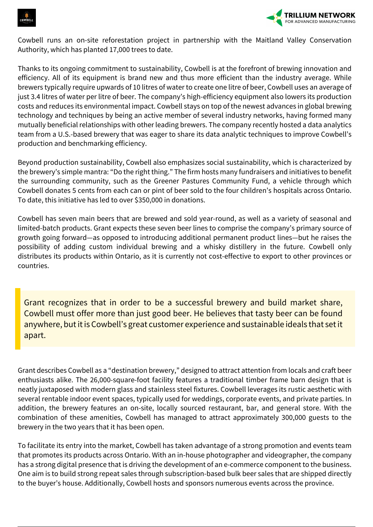



Cowbell runs an on-site reforestation project in partnership with the Maitland Valley Conservation Authority, which has planted 17,000 trees to date.

Thanks to its ongoing commitment to sustainability, Cowbell is at the forefront of brewing innovation and efficiency. All of its equipment is brand new and thus more efficient than the industry average. While brewers typically require upwards of 10 litres of water to create one litre of beer, Cowbell uses an average of just 3.4 litres of water per litre of beer. The company's high-efficiency equipment also lowers its production costs and reduces its environmental impact. Cowbell stays on top of the newest advances in global brewing technology and techniques by being an active member of several industry networks, having formed many mutually beneficial relationships with other leading brewers. The company recently hosted a data analytics team from a U.S.-based brewery that was eager to share its data analytic techniques to improve Cowbell's production and benchmarking efficiency.

Beyond production sustainability, Cowbell also emphasizes social sustainability, which is characterized by the brewery's simple mantra: "Do the right thing." The firm hosts many fundraisers and initiatives to benefit the surrounding community, such as the Greener Pastures Community Fund, a vehicle through which Cowbell donates 5 cents from each can or pint of beer sold to the four children's hospitals across Ontario. To date, this initiative has led to over \$350,000 in donations.

Cowbell has seven main beers that are brewed and sold year-round, as well as a variety of seasonal and limited-batch products. Grant expects these seven beer lines to comprise the company's primary source of growth going forward—as opposed to introducing additional permanent product lines—but he raises the possibility of adding custom individual brewing and a whisky distillery in the future. Cowbell only distributes its products within Ontario, as it is currently not cost-effective to export to other provinces or countries.

Grant recognizes that in order to be a successful brewery and build market share, Cowbell must offer more than just good beer. He believes that tasty beer can be found anywhere, but it is Cowbell's great customer experience and sustainable ideals that set it apart.

Grant describes Cowbell as a "destination brewery," designed to attract attention from locals and craft beer enthusiasts alike. The 26,000-square-foot facility features a traditional timber frame barn design that is neatly juxtaposed with modern glass and stainless steel fixtures. Cowbell leverages its rustic aesthetic with several rentable indoor event spaces, typically used for weddings, corporate events, and private parties. In addition, the brewery features an on-site, locally sourced restaurant, bar, and general store. With the combination of these amenities, Cowbell has managed to attract approximately 300,000 guests to the brewery in the two years that it has been open.

To facilitate its entry into the market, Cowbell has taken advantage of a strong promotion and events team that promotes its products across Ontario. With an in-house photographer and videographer, the company has a strong digital presence that is driving the development of an e-commerce component to the business. One aim is to build strong repeat sales through subscription-based bulk beer sales that are shipped directly to the buyer's house. Additionally, Cowbell hosts and sponsors numerous events across the province.